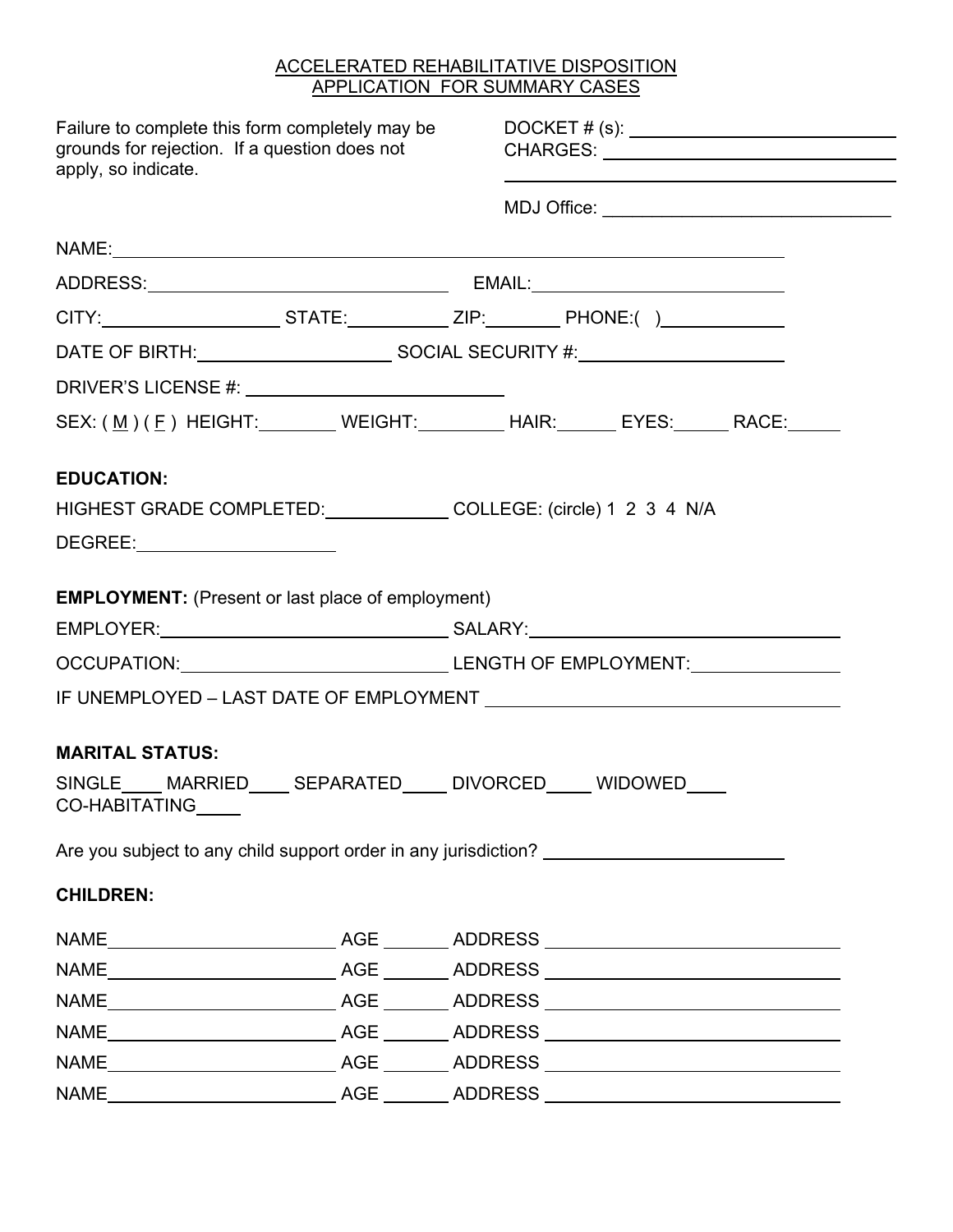## ACCELERATED REHABILITATIVE DISPOSITION APPLICATION FOR SUMMARY CASES

| Failure to complete this form completely may be<br>grounds for rejection. If a question does not<br>apply, so indicate.                                                                                                        | DOCKET # (s): _________________________________                 |
|--------------------------------------------------------------------------------------------------------------------------------------------------------------------------------------------------------------------------------|-----------------------------------------------------------------|
|                                                                                                                                                                                                                                |                                                                 |
|                                                                                                                                                                                                                                |                                                                 |
|                                                                                                                                                                                                                                |                                                                 |
| CITY:_________________________STATE:_____________ZIP:__________PHONE:()________________                                                                                                                                        |                                                                 |
|                                                                                                                                                                                                                                |                                                                 |
|                                                                                                                                                                                                                                |                                                                 |
|                                                                                                                                                                                                                                | SEX: (M ) ( E ) HEIGHT: WEIGHT: WEIGHT: HAIR: EYES: RACE: RACE: |
| <b>EDUCATION:</b>                                                                                                                                                                                                              |                                                                 |
| HIGHEST GRADE COMPLETED: COLLEGE: (circle) 1 2 3 4 N/A                                                                                                                                                                         |                                                                 |
| DEGREE: Network and the second service of the service of the service of the series of the series of the series of the series of the series of the series of the series of the series of the series of the series of the series |                                                                 |
| <b>EMPLOYMENT:</b> (Present or last place of employment)                                                                                                                                                                       |                                                                 |
|                                                                                                                                                                                                                                |                                                                 |
|                                                                                                                                                                                                                                | OCCUPATION: LENGTH OF EMPLOYMENT:                               |
|                                                                                                                                                                                                                                |                                                                 |
|                                                                                                                                                                                                                                |                                                                 |
| <b>MARITAL STATUS:</b>                                                                                                                                                                                                         |                                                                 |
| SINGLE MARRIED SEPARATED DIVORCED WIDOWED<br>CO-HABITATING_____                                                                                                                                                                |                                                                 |
| Are you subject to any child support order in any jurisdiction?                                                                                                                                                                |                                                                 |
| <b>CHILDREN:</b>                                                                                                                                                                                                               |                                                                 |
|                                                                                                                                                                                                                                |                                                                 |
|                                                                                                                                                                                                                                |                                                                 |
|                                                                                                                                                                                                                                |                                                                 |
|                                                                                                                                                                                                                                |                                                                 |
|                                                                                                                                                                                                                                |                                                                 |
|                                                                                                                                                                                                                                |                                                                 |